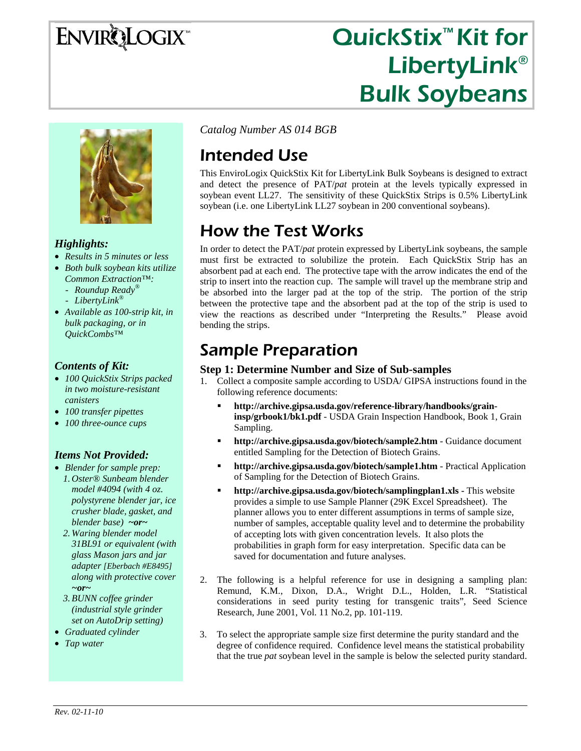# **ENVIRQLOGIX**

## QuickStix<sup>™</sup> Kit for LibertyLink® Bulk Soybeans



#### *Highlights:*

- *Results in 5 minutes or less*
- *Both bulk soybean kits utilize Common Extraction™:* 
	- *Roundup Ready®*
	- *LibertyLink®*
- *Available as 100-strip kit, in bulk packaging, or in QuickCombs™*

#### *Contents of Kit:*

- *100 QuickStix Strips packed in two moisture-resistant canisters*
- *100 transfer pipettes*
- *100 three-ounce cups*

#### *Items Not Provided:*

- *Blender for sample prep: 1. Oster® Sunbeam blender model #4094 (with 4 oz. polystyrene blender jar, ice crusher blade, gasket, and blender base) ~or~*
	- *2. Waring blender model 31BL91 or equivalent (with glass Mason jars and jar adapter [Eberbach #E8495] along with protective cover ~or~*
	- *3.BUNN coffee grinder (industrial style grinder set on AutoDrip setting)*
- *Graduated cylinder*
- *Tap water*

*Catalog Number AS 014 BGB*

### Intended Use

This EnviroLogix QuickStix Kit for LibertyLink Bulk Soybeans is designed to extract and detect the presence of PAT/*pat* protein at the levels typically expressed in soybean event LL27. The sensitivity of these QuickStix Strips is 0.5% LibertyLink soybean (i.e. one LibertyLink LL27 soybean in 200 conventional soybeans).

## How the Test Works

In order to detect the PAT/*pat* protein expressed by LibertyLink soybeans, the sample must first be extracted to solubilize the protein. Each QuickStix Strip has an absorbent pad at each end. The protective tape with the arrow indicates the end of the strip to insert into the reaction cup. The sample will travel up the membrane strip and be absorbed into the larger pad at the top of the strip. The portion of the strip between the protective tape and the absorbent pad at the top of the strip is used to view the reactions as described under "Interpreting the Results." Please avoid bending the strips.

### Sample Preparation

- **Step 1: Determine Number and Size of Sub-samples**<br>1. Collect a composite sample according to USDA/ GIPSA instructions found in the following reference documents:
	- **http://archive.gipsa.usda.gov/reference-library/handbooks/graininsp/grbook1/bk1.pdf** - USDA Grain Inspection Handbook, Book 1, Grain Sampling.
	- **http://archive.gipsa.usda.gov/biotech/sample2.htm** Guidance document entitled Sampling for the Detection of Biotech Grains.
	- **http://archive.gipsa.usda.gov/biotech/sample1.htm** Practical Application of Sampling for the Detection of Biotech Grains.
	- **http://archive.gipsa.usda.gov/biotech/samplingplan1.xls** This website provides a simple to use Sample Planner (29K Excel Spreadsheet). The planner allows you to enter different assumptions in terms of sample size, number of samples, acceptable quality level and to determine the probability of accepting lots with given concentration levels. It also plots the probabilities in graph form for easy interpretation. Specific data can be saved for documentation and future analyses.
- 2. The following is a helpful reference for use in designing a sampling plan: Remund, K.M., Dixon, D.A., Wright D.L., Holden, L.R. "Statistical considerations in seed purity testing for transgenic traits", Seed Science Research, June 2001, Vol. 11 No.2, pp. 101-119.
- 3. To select the appropriate sample size first determine the purity standard and the degree of confidence required. Confidence level means the statistical probability that the true *pat* soybean level in the sample is below the selected purity standard.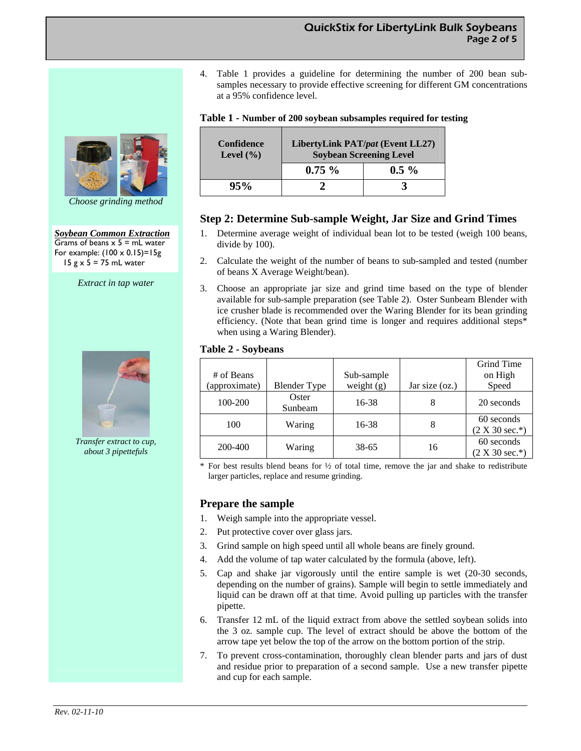4. Table 1 provides a guideline for determining the number of 200 bean subsamples necessary to provide effective screening for different GM concentrations at a 95% confidence level.

|  | Table 1 - Number of 200 soybean subsamples required for testing |  |  |  |
|--|-----------------------------------------------------------------|--|--|--|
|  |                                                                 |  |  |  |

| <b>Confidence</b><br>Level $(\% )$ | LibertyLink PAT/pat (Event LL27)<br><b>Soybean Screening Level</b> |         |  |  |
|------------------------------------|--------------------------------------------------------------------|---------|--|--|
|                                    | $0.75 \%$                                                          | $0.5\%$ |  |  |
| 95%                                |                                                                    |         |  |  |

#### **Step 2: Determine Sub-sample Weight, Jar Size and Grind Times**

- 1. Determine average weight of individual bean lot to be tested (weigh 100 beans, divide by 100).
- 2. Calculate the weight of the number of beans to sub-sampled and tested (number of beans X Average Weight/bean).
- 3. Choose an appropriate jar size and grind time based on the type of blender available for sub-sample preparation (see Table 2). Oster Sunbeam Blender with ice crusher blade is recommended over the Waring Blender for its bean grinding efficiency. (Note that bean grind time is longer and requires additional steps\* when using a Waring Blender).

#### **Table 2 - Soybeans**

|               |                     |              |                | Grind Time                     |
|---------------|---------------------|--------------|----------------|--------------------------------|
| # of Beans    |                     | Sub-sample   |                | on High                        |
| (approximate) | <b>Blender Type</b> | weight $(g)$ | Jar size (oz.) | Speed                          |
| 100-200       | Oster<br>Sunbeam    | 16-38        | 8              | 20 seconds                     |
| 100           | Waring              | 16-38        | 8              | 60 seconds<br>$(2 X 30 sec.*)$ |
| 200-400       | Waring              | 38-65        | 16             | 60 seconds<br>$(2 X 30 sec.*)$ |

For best results blend beans for  $\frac{1}{2}$  of total time, remove the jar and shake to redistribute larger particles, replace and resume grinding.

#### **Prepare the sample**

- 1. Weigh sample into the appropriate vessel.
- 2. Put protective cover over glass jars.
- 3. Grind sample on high speed until all whole beans are finely ground.
- 4. Add the volume of tap water calculated by the formula (above, left).
- 5. Cap and shake jar vigorously until the entire sample is wet (20-30 seconds, depending on the number of grains). Sample will begin to settle immediately and liquid can be drawn off at that time. Avoid pulling up particles with the transfer pipette.
- 6. Transfer 12 mL of the liquid extract from above the settled soybean solids into the 3 oz. sample cup. The level of extract should be above the bottom of the arrow tape yet below the top of the arrow on the bottom portion of the strip.
- 7. To prevent cross-contamination, thoroughly clean blender parts and jars of dust and residue prior to preparation of a second sample. Use a new transfer pipette and cup for each sample.



*Choose grinding method* 

*Soybean Common Extraction* Grams of beans  $x$  5 = mL water For example:  $(100 \times 0.15) = 15g$  $15 g \times 5 = 75$  mL water

*Extract in tap water* 



*Transfer extract to cup, about 3 pipettefuls*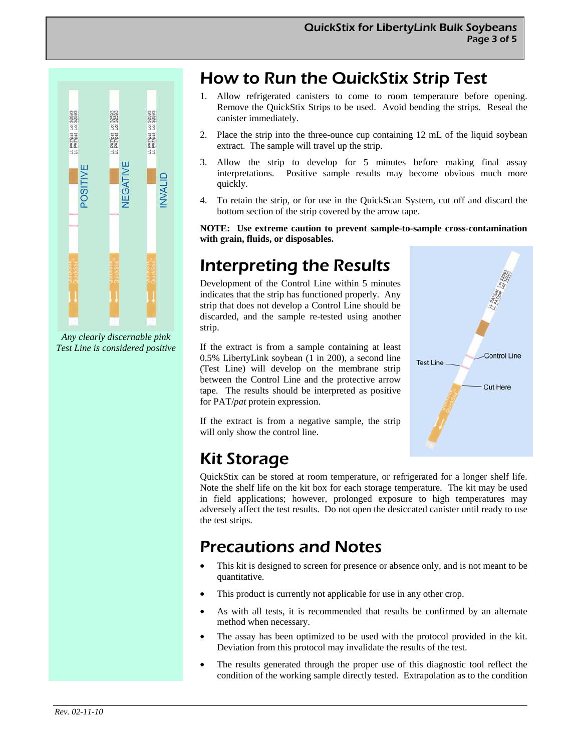**Control Line** 

**Cut Here** 

**Test Line** 



*Any clearly discernable pink Test Line is considered positive* 

### How to Run the QuickStix Strip Test

- 1. Allow refrigerated canisters to come to room temperature before opening. Remove the QuickStix Strips to be used. Avoid bending the strips. Reseal the canister immediately.
- 2. Place the strip into the three-ounce cup containing 12 mL of the liquid soybean extract. The sample will travel up the strip.
- 3. Allow the strip to develop for 5 minutes before making final assay interpretations. Positive sample results may become obvious much more quickly.
- 4. To retain the strip, or for use in the QuickScan System, cut off and discard the bottom section of the strip covered by the arrow tape.

**NOTE: Use extreme caution to prevent sample-to-sample cross-contamination with grain, fluids, or disposables.** 

### Interpreting the Results

Development of the Control Line within 5 minutes indicates that the strip has functioned properly. Any strip that does not develop a Control Line should be discarded, and the sample re-tested using another strip.

If the extract is from a sample containing at least 0.5% LibertyLink soybean (1 in 200), a second line (Test Line) will develop on the membrane strip between the Control Line and the protective arrow tape. The results should be interpreted as positive for PAT/*pat* protein expression.

If the extract is from a negative sample, the strip will only show the control line.

## Kit Storage

QuickStix can be stored at room temperature, or refrigerated for a longer shelf life. Note the shelf life on the kit box for each storage temperature. The kit may be used in field applications; however, prolonged exposure to high temperatures may adversely affect the test results. Do not open the desiccated canister until ready to use the test strips.

### Precautions and Notes

- This kit is designed to screen for presence or absence only, and is not meant to be quantitative.
- This product is currently not applicable for use in any other crop.
- As with all tests, it is recommended that results be confirmed by an alternate method when necessary.
- The assay has been optimized to be used with the protocol provided in the kit. Deviation from this protocol may invalidate the results of the test.
- The results generated through the proper use of this diagnostic tool reflect the condition of the working sample directly tested. Extrapolation as to the condition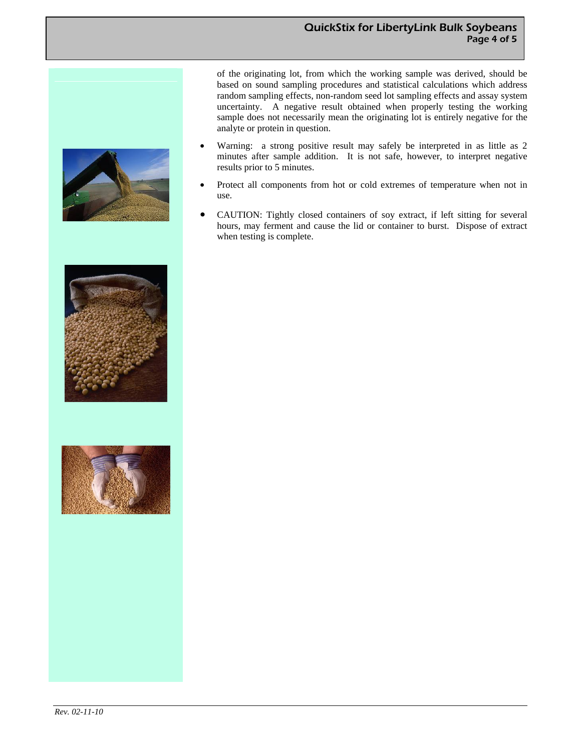of the originating lot, from which the working sample was derived, should be based on sound sampling procedures and statistical calculations which address random sampling effects, non-random seed lot sampling effects and assay system uncertainty. A negative result obtained when properly testing the working sample does not necessarily mean the originating lot is entirely negative for the analyte or protein in question.

- Warning: a strong positive result may safely be interpreted in as little as 2 minutes after sample addition. It is not safe, however, to interpret negative results prior to 5 minutes.
- Protect all components from hot or cold extremes of temperature when not in use.
- CAUTION: Tightly closed containers of soy extract, if left sitting for several hours, may ferment and cause the lid or container to burst. Dispose of extract when testing is complete.